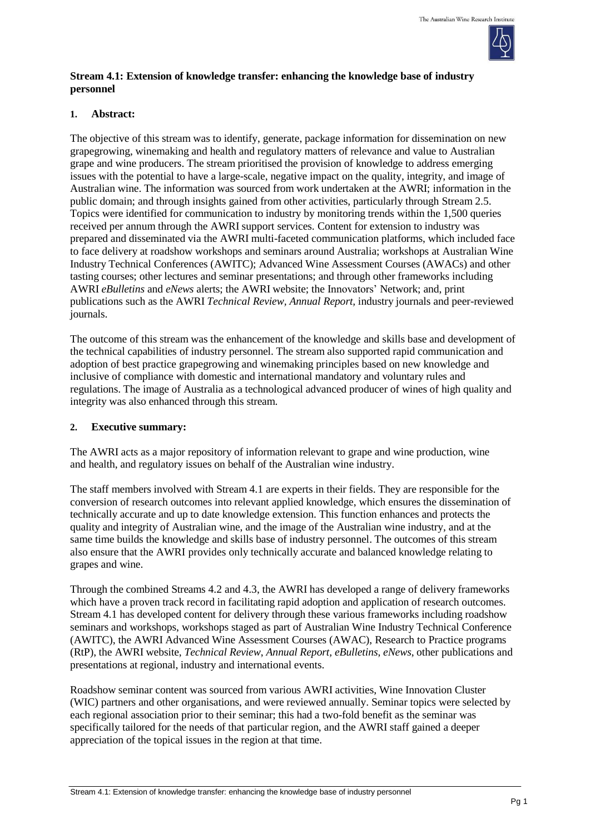

## **Stream 4.1: Extension of knowledge transfer: enhancing the knowledge base of industry personnel**

## **1. Abstract:**

The objective of this stream was to identify, generate, package information for dissemination on new grapegrowing, winemaking and health and regulatory matters of relevance and value to Australian grape and wine producers. The stream prioritised the provision of knowledge to address emerging issues with the potential to have a large-scale, negative impact on the quality, integrity, and image of Australian wine. The information was sourced from work undertaken at the AWRI; information in the public domain; and through insights gained from other activities, particularly through Stream 2.5. Topics were identified for communication to industry by monitoring trends within the 1,500 queries received per annum through the AWRI support services. Content for extension to industry was prepared and disseminated via the AWRI multi-faceted communication platforms, which included face to face delivery at roadshow workshops and seminars around Australia; workshops at Australian Wine Industry Technical Conferences (AWITC); Advanced Wine Assessment Courses (AWACs) and other tasting courses; other lectures and seminar presentations; and through other frameworks including AWRI *eBulletins* and *eNews* alerts; the AWRI website; the Innovators' Network; and, print publications such as the AWRI *Technical Review, Annual Report,* industry journals and peer-reviewed journals.

The outcome of this stream was the enhancement of the knowledge and skills base and development of the technical capabilities of industry personnel. The stream also supported rapid communication and adoption of best practice grapegrowing and winemaking principles based on new knowledge and inclusive of compliance with domestic and international mandatory and voluntary rules and regulations. The image of Australia as a technological advanced producer of wines of high quality and integrity was also enhanced through this stream.

## **2. Executive summary:**

The AWRI acts as a major repository of information relevant to grape and wine production, wine and health, and regulatory issues on behalf of the Australian wine industry.

The staff members involved with Stream 4.1 are experts in their fields. They are responsible for the conversion of research outcomes into relevant applied knowledge, which ensures the dissemination of technically accurate and up to date knowledge extension. This function enhances and protects the quality and integrity of Australian wine, and the image of the Australian wine industry, and at the same time builds the knowledge and skills base of industry personnel. The outcomes of this stream also ensure that the AWRI provides only technically accurate and balanced knowledge relating to grapes and wine.

Through the combined Streams 4.2 and 4.3, the AWRI has developed a range of delivery frameworks which have a proven track record in facilitating rapid adoption and application of research outcomes. Stream 4.1 has developed content for delivery through these various frameworks including roadshow seminars and workshops, workshops staged as part of Australian Wine Industry Technical Conference (AWITC), the AWRI Advanced Wine Assessment Courses (AWAC), Research to Practice programs (RtP), the AWRI website, *Technical Review*, *Annual Report, eBulletins*, *eNews*, other publications and presentations at regional, industry and international events.

Roadshow seminar content was sourced from various AWRI activities, Wine Innovation Cluster (WIC) partners and other organisations, and were reviewed annually. Seminar topics were selected by each regional association prior to their seminar; this had a two-fold benefit as the seminar was specifically tailored for the needs of that particular region, and the AWRI staff gained a deeper appreciation of the topical issues in the region at that time.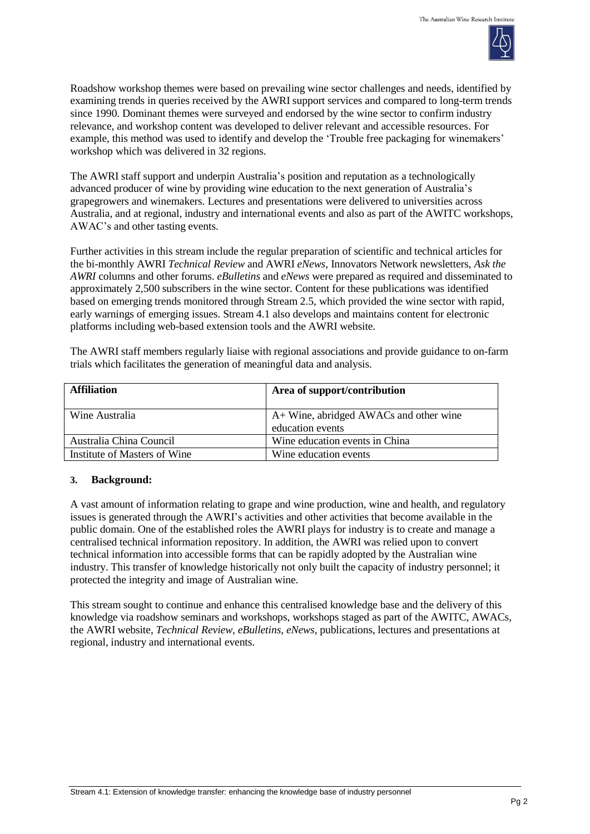

Roadshow workshop themes were based on prevailing wine sector challenges and needs, identified by examining trends in queries received by the AWRI support services and compared to long-term trends since 1990. Dominant themes were surveyed and endorsed by the wine sector to confirm industry relevance, and workshop content was developed to deliver relevant and accessible resources. For example, this method was used to identify and develop the 'Trouble free packaging for winemakers' workshop which was delivered in 32 regions.

The AWRI staff support and underpin Australia's position and reputation as a technologically advanced producer of wine by providing wine education to the next generation of Australia's grapegrowers and winemakers. Lectures and presentations were delivered to universities across Australia, and at regional, industry and international events and also as part of the AWITC workshops, AWAC's and other tasting events.

Further activities in this stream include the regular preparation of scientific and technical articles for the bi-monthly AWRI *Technical Review* and AWRI *eNews,* Innovators Network newsletters, *Ask the AWRI* columns and other forums. *eBulletins* and *eNews* were prepared as required and disseminated to approximately 2,500 subscribers in the wine sector. Content for these publications was identified based on emerging trends monitored through Stream 2.5, which provided the wine sector with rapid, early warnings of emerging issues. Stream 4.1 also develops and maintains content for electronic platforms including web-based extension tools and the AWRI website.

The AWRI staff members regularly liaise with regional associations and provide guidance to on-farm trials which facilitates the generation of meaningful data and analysis.

| <b>Affiliation</b>           | Area of support/contribution                               |
|------------------------------|------------------------------------------------------------|
| Wine Australia               | A+ Wine, abridged AWACs and other wine<br>education events |
| Australia China Council      | Wine education events in China                             |
| Institute of Masters of Wine | Wine education events                                      |

# **3. Background:**

A vast amount of information relating to grape and wine production, wine and health, and regulatory issues is generated through the AWRI's activities and other activities that become available in the public domain. One of the established roles the AWRI plays for industry is to create and manage a centralised technical information repository. In addition, the AWRI was relied upon to convert technical information into accessible forms that can be rapidly adopted by the Australian wine industry. This transfer of knowledge historically not only built the capacity of industry personnel; it protected the integrity and image of Australian wine.

This stream sought to continue and enhance this centralised knowledge base and the delivery of this knowledge via roadshow seminars and workshops, workshops staged as part of the AWITC, AWACs, the AWRI website, *Technical Review, eBulletins*, *eNews*, publications, lectures and presentations at regional, industry and international events.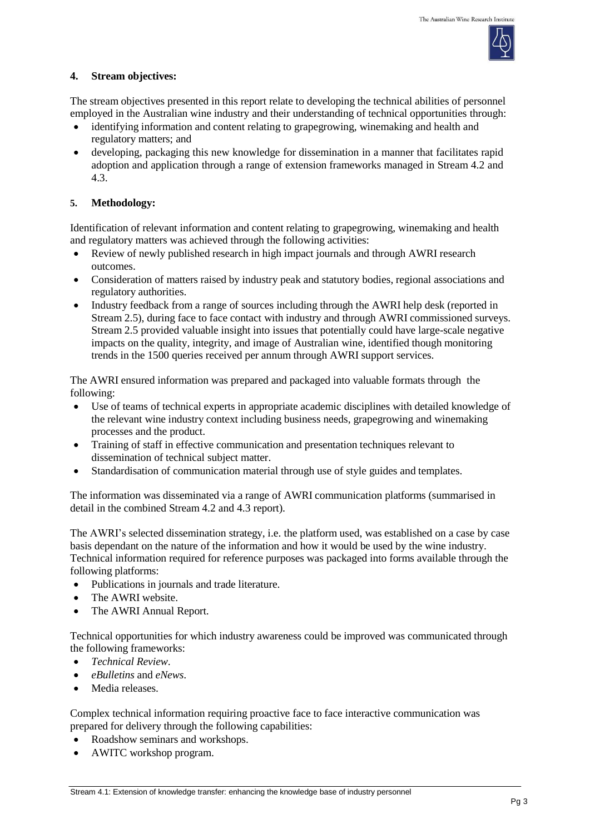

#### **4. Stream objectives:**

The stream objectives presented in this report relate to developing the technical abilities of personnel employed in the Australian wine industry and their understanding of technical opportunities through:

- identifying information and content relating to grapegrowing, winemaking and health and regulatory matters; and
- developing, packaging this new knowledge for dissemination in a manner that facilitates rapid adoption and application through a range of extension frameworks managed in Stream 4.2 and 4.3.

#### **5. Methodology:**

Identification of relevant information and content relating to grapegrowing, winemaking and health and regulatory matters was achieved through the following activities:

- Review of newly published research in high impact journals and through AWRI research outcomes.
- Consideration of matters raised by industry peak and statutory bodies, regional associations and regulatory authorities.
- Industry feedback from a range of sources including through the AWRI help desk (reported in Stream 2.5), during face to face contact with industry and through AWRI commissioned surveys. Stream 2.5 provided valuable insight into issues that potentially could have large-scale negative impacts on the quality, integrity, and image of Australian wine, identified though monitoring trends in the 1500 queries received per annum through AWRI support services.

The AWRI ensured information was prepared and packaged into valuable formats through the following:

- Use of teams of technical experts in appropriate academic disciplines with detailed knowledge of the relevant wine industry context including business needs, grapegrowing and winemaking processes and the product.
- Training of staff in effective communication and presentation techniques relevant to dissemination of technical subject matter.
- Standardisation of communication material through use of style guides and templates.

The information was disseminated via a range of AWRI communication platforms (summarised in detail in the combined Stream 4.2 and 4.3 report).

The AWRI's selected dissemination strategy, i.e. the platform used, was established on a case by case basis dependant on the nature of the information and how it would be used by the wine industry. Technical information required for reference purposes was packaged into forms available through the following platforms:

- Publications in journals and trade literature.
- The AWRI website.
- The AWRI Annual Report.

Technical opportunities for which industry awareness could be improved was communicated through the following frameworks:

- *Technical Review*.
- *eBulletins* and *eNews*.
- Media releases.

Complex technical information requiring proactive face to face interactive communication was prepared for delivery through the following capabilities:

- Roadshow seminars and workshops.
- AWITC workshop program.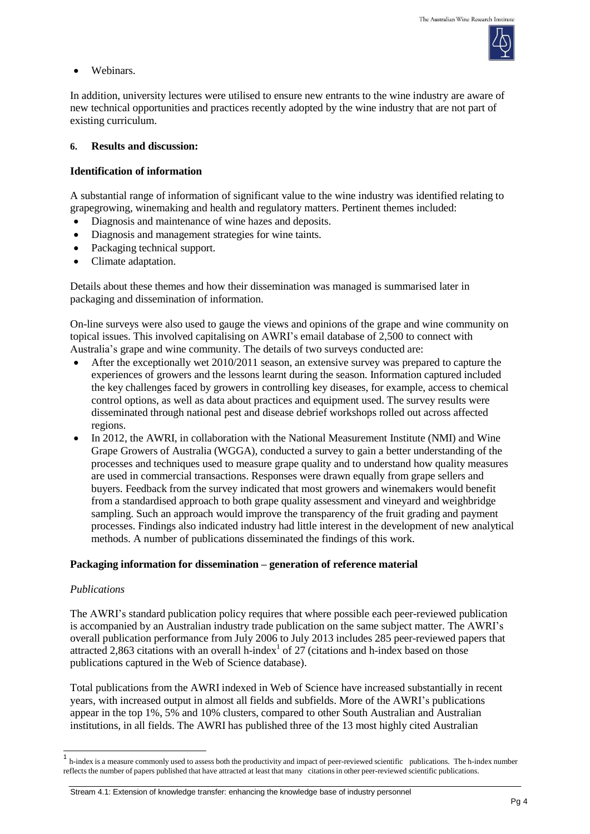

Webinars.

In addition, university lectures were utilised to ensure new entrants to the wine industry are aware of new technical opportunities and practices recently adopted by the wine industry that are not part of existing curriculum.

## **6. Results and discussion:**

# **Identification of information**

A substantial range of information of significant value to the wine industry was identified relating to grapegrowing, winemaking and health and regulatory matters. Pertinent themes included:

- Diagnosis and maintenance of wine hazes and deposits.
- Diagnosis and management strategies for wine taints.
- Packaging technical support.
- Climate adaptation.

Details about these themes and how their dissemination was managed is summarised later in packaging and dissemination of information.

On-line surveys were also used to gauge the views and opinions of the grape and wine community on topical issues. This involved capitalising on AWRI's email database of 2,500 to connect with Australia's grape and wine community. The details of two surveys conducted are:

- After the exceptionally wet 2010/2011 season, an extensive survey was prepared to capture the experiences of growers and the lessons learnt during the season. Information captured included the key challenges faced by growers in controlling key diseases, for example, access to chemical control options, as well as data about practices and equipment used. The survey results were disseminated through national pest and disease debrief workshops rolled out across affected regions.
- In 2012, the AWRI, in collaboration with the National Measurement Institute (NMI) and Wine Grape Growers of Australia (WGGA), conducted a survey to gain a better understanding of the processes and techniques used to measure grape quality and to understand how quality measures are used in commercial transactions. Responses were drawn equally from grape sellers and buyers. Feedback from the survey indicated that most growers and winemakers would benefit from a standardised approach to both grape quality assessment and vineyard and weighbridge sampling. Such an approach would improve the transparency of the fruit grading and payment processes. Findings also indicated industry had little interest in the development of new analytical methods. A number of publications disseminated the findings of this work.

### **Packaging information for dissemination – generation of reference material**

### *Publications*

 $\overline{a}$ 

The AWRI's standard publication policy requires that where possible each peer-reviewed publication is accompanied by an Australian industry trade publication on the same subject matter. The AWRI's overall publication performance from July 2006 to July 2013 includes 285 peer-reviewed papers that attracted 2,863 citations with an overall h-index<sup>1</sup> of 27 (citations and h-index based on those publications captured in the Web of Science database).

Total publications from the AWRI indexed in Web of Science have increased substantially in recent years, with increased output in almost all fields and subfields. More of the AWRI's publications appear in the top 1%, 5% and 10% clusters, compared to other South Australian and Australian institutions, in all fields. The AWRI has published three of the 13 most highly cited Australian

Stream 4.1: Extension of knowledge transfer: enhancing the knowledge base of industry personnel

<sup>1</sup> h-index is a measure commonly used to assess both the productivity and impact of peer-reviewed scientific publications. The h-index number reflects the number of papers published that have attracted at least that many citationsin other peer-reviewed scientific publications.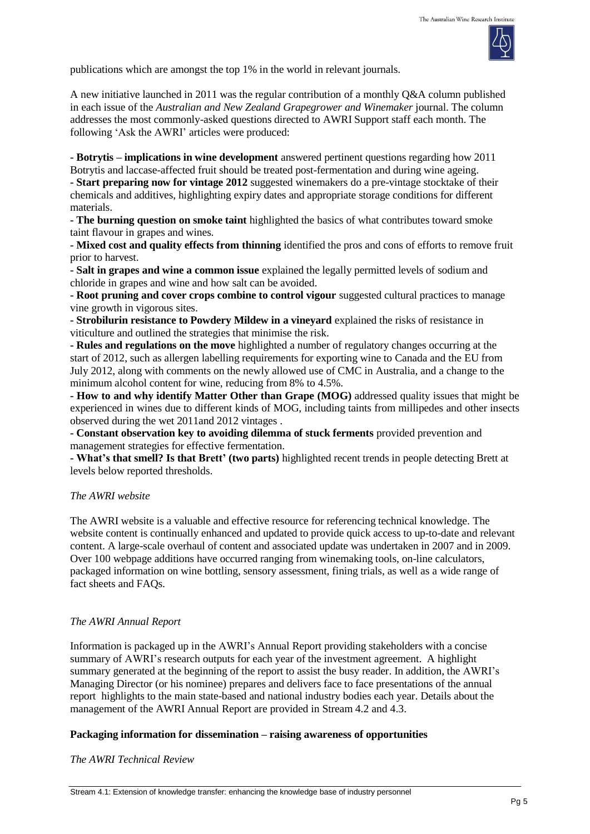

publications which are amongst the top 1% in the world in relevant journals.

A new initiative launched in 2011 was the regular contribution of a monthly Q&A column published in each issue of the *Australian and New Zealand Grapegrower and Winemaker* journal. The column addresses the most commonly-asked questions directed to AWRI Support staff each month. The following 'Ask the AWRI' articles were produced:

**- Botrytis – implications in wine development** answered pertinent questions regarding how 2011 Botrytis and laccase-affected fruit should be treated post-fermentation and during wine ageing. **- Start preparing now for vintage 2012** suggested winemakers do a pre-vintage stocktake of their

chemicals and additives, highlighting expiry dates and appropriate storage conditions for different materials.

**- The burning question on smoke taint** highlighted the basics of what contributes toward smoke taint flavour in grapes and wines.

**- Mixed cost and quality effects from thinning** identified the pros and cons of efforts to remove fruit prior to harvest.

**- Salt in grapes and wine a common issue** explained the legally permitted levels of sodium and chloride in grapes and wine and how salt can be avoided.

**- Root pruning and cover crops combine to control vigour** suggested cultural practices to manage vine growth in vigorous sites.

**- Strobilurin resistance to Powdery Mildew in a vineyard** explained the risks of resistance in viticulture and outlined the strategies that minimise the risk.

**- Rules and regulations on the move** highlighted a number of regulatory changes occurring at the start of 2012, such as allergen labelling requirements for exporting wine to Canada and the EU from July 2012, along with comments on the newly allowed use of CMC in Australia, and a change to the minimum alcohol content for wine, reducing from 8% to 4.5%.

**- How to and why identify Matter Other than Grape (MOG)** addressed quality issues that might be experienced in wines due to different kinds of MOG, including taints from millipedes and other insects observed during the wet 2011and 2012 vintages .

**- Constant observation key to avoiding dilemma of stuck ferments** provided prevention and management strategies for effective fermentation.

**- What's that smell? Is that Brett' (two parts)** highlighted recent trends in people detecting Brett at levels below reported thresholds.

# *The AWRI website*

The AWRI website is a valuable and effective resource for referencing technical knowledge. The website content is continually enhanced and updated to provide quick access to up-to-date and relevant content. A large-scale overhaul of content and associated update was undertaken in 2007 and in 2009. Over 100 webpage additions have occurred ranging from winemaking tools, on-line calculators, packaged information on wine bottling, sensory assessment, fining trials, as well as a wide range of fact sheets and FAQs.

# *The AWRI Annual Report*

Information is packaged up in the AWRI's Annual Report providing stakeholders with a concise summary of AWRI's research outputs for each year of the investment agreement. A highlight summary generated at the beginning of the report to assist the busy reader. In addition, the AWRI's Managing Director (or his nominee) prepares and delivers face to face presentations of the annual report highlights to the main state-based and national industry bodies each year. Details about the management of the AWRI Annual Report are provided in Stream 4.2 and 4.3.

# **Packaging information for dissemination – raising awareness of opportunities**

*The AWRI Technical Review*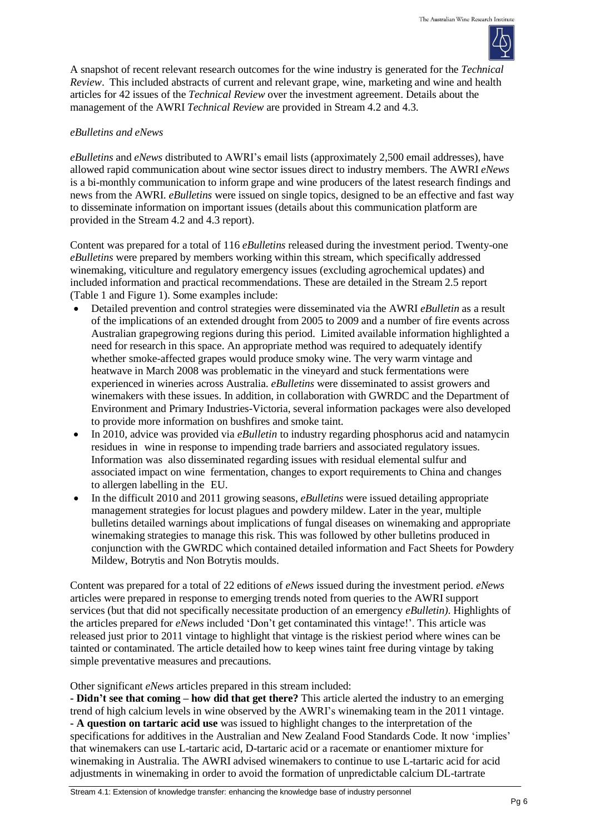

A snapshot of recent relevant research outcomes for the wine industry is generated for the *Technical Review*. This included abstracts of current and relevant grape, wine, marketing and wine and health articles for 42 issues of the *Technical Review* over the investment agreement. Details about the management of the AWRI *Technical Review* are provided in Stream 4.2 and 4.3.

#### *eBulletins and eNews*

*eBulletins* and *eNews* distributed to AWRI's email lists (approximately 2,500 email addresses), have allowed rapid communication about wine sector issues direct to industry members. The AWRI *eNews* is a bi-monthly communication to inform grape and wine producers of the latest research findings and news from the AWRI. *eBulletins* were issued on single topics, designed to be an effective and fast way to disseminate information on important issues (details about this communication platform are provided in the Stream 4.2 and 4.3 report).

Content was prepared for a total of 116 *eBulletins* released during the investment period. Twenty-one *eBulletins* were prepared by members working within this stream, which specifically addressed winemaking, viticulture and regulatory emergency issues (excluding agrochemical updates) and included information and practical recommendations. These are detailed in the Stream 2.5 report (Table 1 and Figure 1). Some examples include:

- Detailed prevention and control strategies were disseminated via the AWRI *eBulletin* as a result of the implications of an extended drought from 2005 to 2009 and a number of fire events across Australian grapegrowing regions during this period. Limited available information highlighted a need for research in this space. An appropriate method was required to adequately identify whether smoke-affected grapes would produce smoky wine. The very warm vintage and heatwave in March 2008 was problematic in the vineyard and stuck fermentations were experienced in wineries across Australia. *eBulletins* were disseminated to assist growers and winemakers with these issues. In addition, in collaboration with GWRDC and the Department of Environment and Primary Industries-Victoria, several information packages were also developed to provide more information on bushfires and smoke taint.
- In 2010, advice was provided via *eBulletin* to industry regarding phosphorus acid and natamycin residues in wine in response to impending trade barriers and associated regulatory issues. Information was also disseminated regarding issues with residual elemental sulfur and associated impact on wine fermentation, changes to export requirements to China and changes to allergen labelling in the EU.
- In the difficult 2010 and 2011 growing seasons, *eBulletins* were issued detailing appropriate management strategies for locust plagues and powdery mildew. Later in the year, multiple bulletins detailed warnings about implications of fungal diseases on winemaking and appropriate winemaking strategies to manage this risk. This was followed by other bulletins produced in conjunction with the GWRDC which contained detailed information and Fact Sheets for Powdery Mildew, Botrytis and Non Botrytis moulds.

Content was prepared for a total of 22 editions of *eNews* issued during the investment period. *eNews* articles were prepared in response to emerging trends noted from queries to the AWRI support services (but that did not specifically necessitate production of an emergency *eBulletin)*. Highlights of the articles prepared for *eNews* included 'Don't get contaminated this vintage!'. This article was released just prior to 2011 vintage to highlight that vintage is the riskiest period where wines can be tainted or contaminated. The article detailed how to keep wines taint free during vintage by taking simple preventative measures and precautions.

Other significant *eNews* articles prepared in this stream included:

**- Didn't see that coming – how did that get there?** This article alerted the industry to an emerging trend of high calcium levels in wine observed by the AWRI's winemaking team in the 2011 vintage. **- A question on tartaric acid use** was issued to highlight changes to the interpretation of the specifications for additives in the Australian and New Zealand Food Standards Code. It now 'implies' that winemakers can use L-tartaric acid, D-tartaric acid or a racemate or enantiomer mixture for winemaking in Australia. The AWRI advised winemakers to continue to use L-tartaric acid for acid adjustments in winemaking in order to avoid the formation of unpredictable calcium DL-tartrate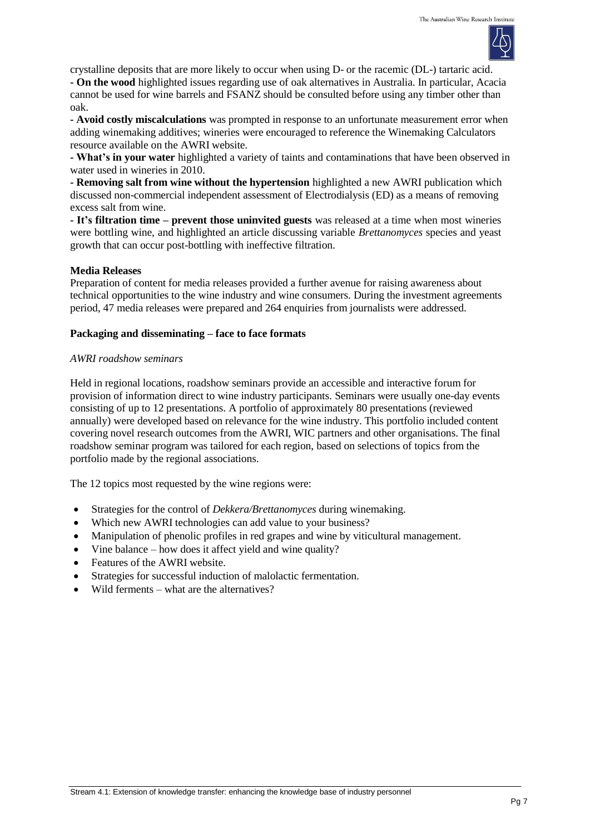

crystalline deposits that are more likely to occur when using D- or the racemic (DL-) tartaric acid. **- On the wood** highlighted issues regarding use of oak alternatives in Australia. In particular, Acacia cannot be used for wine barrels and FSANZ should be consulted before using any timber other than oak.

**- Avoid costly miscalculations** was prompted in response to an unfortunate measurement error when adding winemaking additives; wineries were encouraged to reference the Winemaking Calculators resource available on the AWRI website.

**- What's in your water** highlighted a variety of taints and contaminations that have been observed in water used in wineries in 2010.

**- Removing salt from wine without the hypertension** highlighted a new AWRI publication which discussed non-commercial independent assessment of Electrodialysis (ED) as a means of removing excess salt from wine.

**- It's filtration time – prevent those uninvited guests** was released at a time when most wineries were bottling wine, and highlighted an article discussing variable *Brettanomyces* species and yeast growth that can occur post-bottling with ineffective filtration.

### **Media Releases**

Preparation of content for media releases provided a further avenue for raising awareness about technical opportunities to the wine industry and wine consumers. During the investment agreements period, 47 media releases were prepared and 264 enquiries from journalists were addressed.

## **Packaging and disseminating – face to face formats**

### *AWRI roadshow seminars*

Held in regional locations, roadshow seminars provide an accessible and interactive forum for provision of information direct to wine industry participants. Seminars were usually one-day events consisting of up to 12 presentations. A portfolio of approximately 80 presentations (reviewed annually) were developed based on relevance for the wine industry. This portfolio included content covering novel research outcomes from the AWRI, WIC partners and other organisations. The final roadshow seminar program was tailored for each region, based on selections of topics from the portfolio made by the regional associations.

The 12 topics most requested by the wine regions were:

- Strategies for the control of *Dekkera/Brettanomyces* during winemaking.
- Which new AWRI technologies can add value to your business?
- Manipulation of phenolic profiles in red grapes and wine by viticultural management.
- Vine balance how does it affect yield and wine quality?
- Features of the AWRI website.
- Strategies for successful induction of malolactic fermentation.
- Wild ferments what are the alternatives?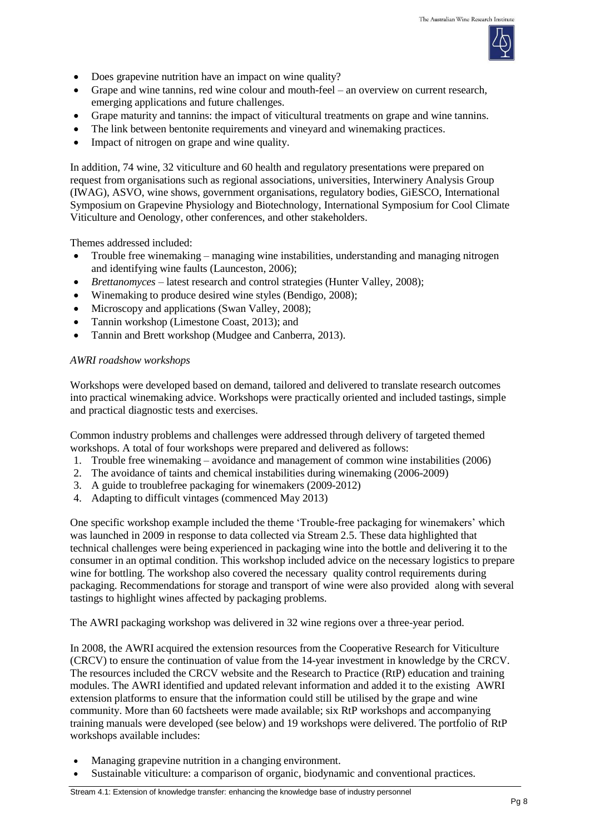

- Does grapevine nutrition have an impact on wine quality?
- Grape and wine tannins, red wine colour and mouth-feel an overview on current research, emerging applications and future challenges.
- Grape maturity and tannins: the impact of viticultural treatments on grape and wine tannins.
- The link between bentonite requirements and vineyard and winemaking practices.
- Impact of nitrogen on grape and wine quality.

In addition, 74 wine, 32 viticulture and 60 health and regulatory presentations were prepared on request from organisations such as regional associations, universities, Interwinery Analysis Group (IWAG), ASVO, wine shows, government organisations, regulatory bodies, GiESCO, International Symposium on Grapevine Physiology and Biotechnology, International Symposium for Cool Climate Viticulture and Oenology, other conferences, and other stakeholders.

Themes addressed included:

- Trouble free winemaking managing wine instabilities, understanding and managing nitrogen and identifying wine faults (Launceston, 2006);
- *Brettanomyces* latest research and control strategies (Hunter Valley, 2008);
- Winemaking to produce desired wine styles (Bendigo, 2008);
- Microscopy and applications (Swan Valley, 2008);
- Tannin workshop (Limestone Coast, 2013); and
- Tannin and Brett workshop (Mudgee and Canberra, 2013).

#### *AWRI roadshow workshops*

Workshops were developed based on demand, tailored and delivered to translate research outcomes into practical winemaking advice. Workshops were practically oriented and included tastings, simple and practical diagnostic tests and exercises.

Common industry problems and challenges were addressed through delivery of targeted themed workshops. A total of four workshops were prepared and delivered as follows:

- 1. Trouble free winemaking avoidance and management of common wine instabilities (2006)
- 2. The avoidance of taints and chemical instabilities during winemaking (2006-2009)
- 3. A guide to troublefree packaging for winemakers (2009-2012)
- 4. Adapting to difficult vintages (commenced May 2013)

One specific workshop example included the theme 'Trouble-free packaging for winemakers' which was launched in 2009 in response to data collected via Stream 2.5. These data highlighted that technical challenges were being experienced in packaging wine into the bottle and delivering it to the consumer in an optimal condition. This workshop included advice on the necessary logistics to prepare wine for bottling. The workshop also covered the necessary quality control requirements during packaging. Recommendations for storage and transport of wine were also provided along with several tastings to highlight wines affected by packaging problems.

The AWRI packaging workshop was delivered in 32 wine regions over a three-year period.

In 2008, the AWRI acquired the extension resources from the Cooperative Research for Viticulture (CRCV) to ensure the continuation of value from the 14-year investment in knowledge by the CRCV. The resources included the CRCV website and the Research to Practice (RtP) education and training modules. The AWRI identified and updated relevant information and added it to the existing AWRI extension platforms to ensure that the information could still be utilised by the grape and wine community. More than 60 factsheets were made available; six RtP workshops and accompanying training manuals were developed (see below) and 19 workshops were delivered. The portfolio of RtP workshops available includes:

- Managing grapevine nutrition in a changing environment.
- Sustainable viticulture: a comparison of organic, biodynamic and conventional practices.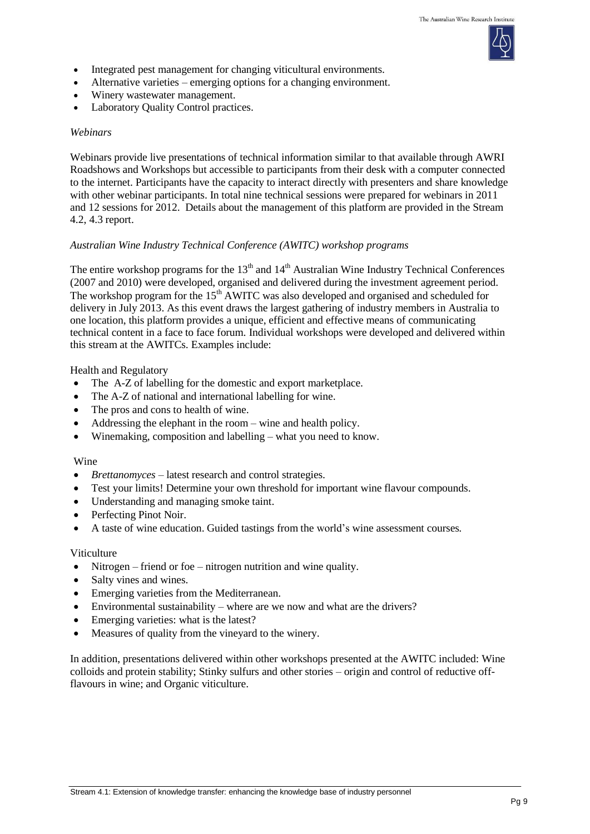

- Integrated pest management for changing viticultural environments.
- Alternative varieties emerging options for a changing environment.
- Winery wastewater management.
- Laboratory Quality Control practices.

#### *Webinars*

Webinars provide live presentations of technical information similar to that available through AWRI Roadshows and Workshops but accessible to participants from their desk with a computer connected to the internet. Participants have the capacity to interact directly with presenters and share knowledge with other webinar participants. In total nine technical sessions were prepared for webinars in 2011 and 12 sessions for 2012. Details about the management of this platform are provided in the Stream 4.2, 4.3 report.

### *Australian Wine Industry Technical Conference (AWITC) workshop programs*

The entire workshop programs for the  $13<sup>th</sup>$  and  $14<sup>th</sup>$  Australian Wine Industry Technical Conferences (2007 and 2010) were developed, organised and delivered during the investment agreement period. The workshop program for the 15<sup>th</sup> AWITC was also developed and organised and scheduled for delivery in July 2013. As this event draws the largest gathering of industry members in Australia to one location, this platform provides a unique, efficient and effective means of communicating technical content in a face to face forum. Individual workshops were developed and delivered within this stream at the AWITCs. Examples include:

Health and Regulatory

- The A-Z of labelling for the domestic and export marketplace.
- The A-Z of national and international labelling for wine.
- The pros and cons to health of wine.
- Addressing the elephant in the room wine and health policy.
- Winemaking, composition and labelling what you need to know.

#### Wine

- *Brettanomyces* latest research and control strategies.
- Test your limits! Determine your own threshold for important wine flavour compounds.
- Understanding and managing smoke taint.
- Perfecting Pinot Noir.
- A taste of wine education. Guided tastings from the world's wine assessment courses*.*

#### Viticulture

- Nitrogen friend or foe nitrogen nutrition and wine quality.
- Salty vines and wines.
- Emerging varieties from the Mediterranean.
- Environmental sustainability where are we now and what are the drivers?
- Emerging varieties: what is the latest?
- Measures of quality from the vineyard to the winery.

In addition, presentations delivered within other workshops presented at the AWITC included: Wine colloids and protein stability; Stinky sulfurs and other stories – origin and control of reductive offflavours in wine; and Organic viticulture.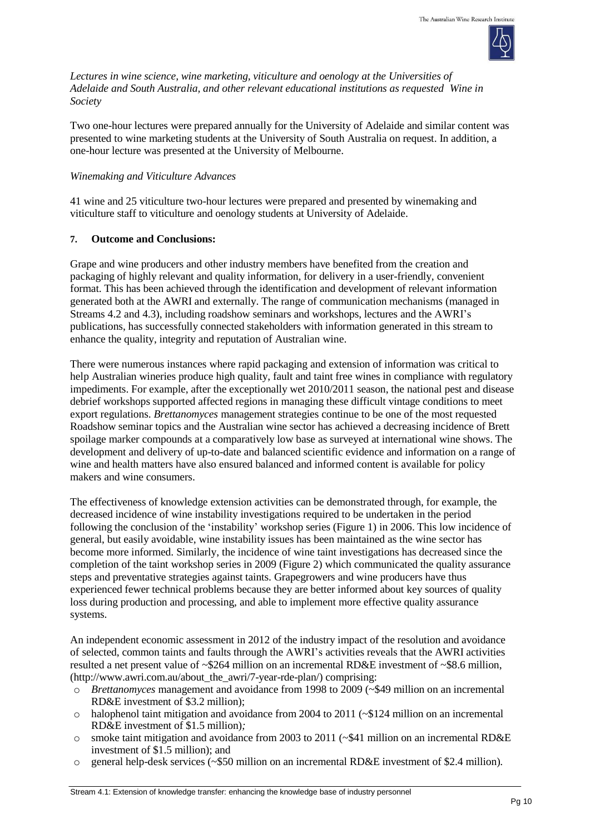

*Lectures in wine science, wine marketing, viticulture and oenology at the Universities of Adelaide and South Australia, and other relevant educational institutions as requested Wine in Society*

Two one-hour lectures were prepared annually for the University of Adelaide and similar content was presented to wine marketing students at the University of South Australia on request. In addition, a one-hour lecture was presented at the University of Melbourne.

## *Winemaking and Viticulture Advances*

41 wine and 25 viticulture two-hour lectures were prepared and presented by winemaking and viticulture staff to viticulture and oenology students at University of Adelaide.

# **7. Outcome and Conclusions:**

Grape and wine producers and other industry members have benefited from the creation and packaging of highly relevant and quality information, for delivery in a user-friendly, convenient format. This has been achieved through the identification and development of relevant information generated both at the AWRI and externally. The range of communication mechanisms (managed in Streams 4.2 and 4.3), including roadshow seminars and workshops, lectures and the AWRI's publications, has successfully connected stakeholders with information generated in this stream to enhance the quality, integrity and reputation of Australian wine.

There were numerous instances where rapid packaging and extension of information was critical to help Australian wineries produce high quality, fault and taint free wines in compliance with regulatory impediments. For example, after the exceptionally wet 2010/2011 season, the national pest and disease debrief workshops supported affected regions in managing these difficult vintage conditions to meet export regulations. *Brettanomyces* management strategies continue to be one of the most requested Roadshow seminar topics and the Australian wine sector has achieved a decreasing incidence of Brett spoilage marker compounds at a comparatively low base as surveyed at international wine shows. The development and delivery of up-to-date and balanced scientific evidence and information on a range of wine and health matters have also ensured balanced and informed content is available for policy makers and wine consumers.

The effectiveness of knowledge extension activities can be demonstrated through, for example, the decreased incidence of wine instability investigations required to be undertaken in the period following the conclusion of the 'instability' workshop series (Figure 1) in 2006. This low incidence of general, but easily avoidable, wine instability issues has been maintained as the wine sector has become more informed. Similarly, the incidence of wine taint investigations has decreased since the completion of the taint workshop series in 2009 (Figure 2) which communicated the quality assurance steps and preventative strategies against taints. Grapegrowers and wine producers have thus experienced fewer technical problems because they are better informed about key sources of quality loss during production and processing, and able to implement more effective quality assurance systems.

An independent economic assessment in 2012 of the industry impact of the resolution and avoidance of selected, common taints and faults through the AWRI's activities reveals that the AWRI activities resulted a net present value of ~\$264 million on an incremental RD&E investment of ~\$8.6 million, [\(http://www.awri.com.au/about\\_the\\_awri/7-year-rde-plan/\)](http://www.awri.com.au/about_the_awri/7-year-rde-plan/) comprising:

- o *Brettanomyces* management and avoidance from 1998 to 2009 (~\$49 million on an incremental RD&E investment of \$3.2 million);
- $\circ$  halophenol taint mitigation and avoidance from 2004 to 2011 ( $\sim$ \$124 million on an incremental RD&E investment of \$1.5 million)*;*
- o smoke taint mitigation and avoidance from 2003 to 2011 (~\$41 million on an incremental RD&E investment of \$1.5 million); and
- o general help-desk services (~\$50 million on an incremental RD&E investment of \$2.4 million)*.*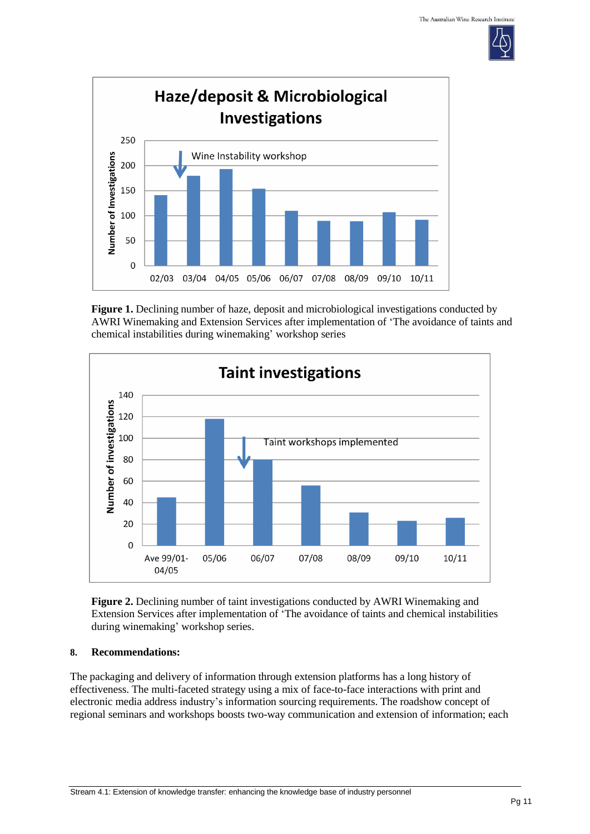



**Figure 1.** Declining number of haze, deposit and microbiological investigations conducted by AWRI Winemaking and Extension Services after implementation of 'The avoidance of taints and chemical instabilities during winemaking' workshop series



**Figure 2.** Declining number of taint investigations conducted by AWRI Winemaking and Extension Services after implementation of 'The avoidance of taints and chemical instabilities during winemaking' workshop series.

### **8. Recommendations:**

The packaging and delivery of information through extension platforms has a long history of effectiveness. The multi-faceted strategy using a mix of face-to-face interactions with print and electronic media address industry's information sourcing requirements. The roadshow concept of regional seminars and workshops boosts two-way communication and extension of information; each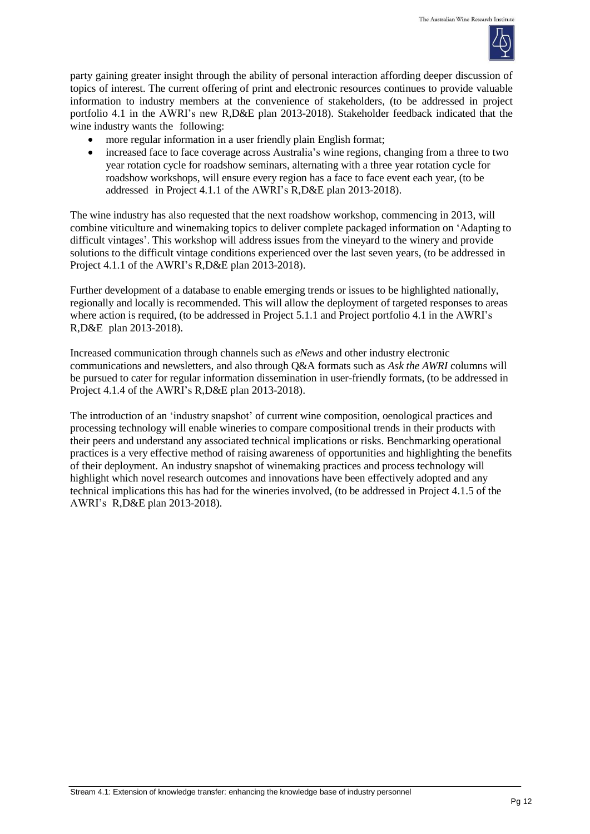

party gaining greater insight through the ability of personal interaction affording deeper discussion of topics of interest. The current offering of print and electronic resources continues to provide valuable information to industry members at the convenience of stakeholders, (to be addressed in project portfolio 4.1 in the AWRI's new R,D&E plan 2013-2018). Stakeholder feedback indicated that the wine industry wants the following:

- more regular information in a user friendly plain English format;
- increased face to face coverage across Australia's wine regions, changing from a three to two year rotation cycle for roadshow seminars, alternating with a three year rotation cycle for roadshow workshops, will ensure every region has a face to face event each year, (to be addressed in Project 4.1.1 of the AWRI's R,D&E plan 2013-2018).

The wine industry has also requested that the next roadshow workshop, commencing in 2013, will combine viticulture and winemaking topics to deliver complete packaged information on 'Adapting to difficult vintages'. This workshop will address issues from the vineyard to the winery and provide solutions to the difficult vintage conditions experienced over the last seven years, (to be addressed in Project 4.1.1 of the AWRI's R,D&E plan 2013-2018).

Further development of a database to enable emerging trends or issues to be highlighted nationally, regionally and locally is recommended. This will allow the deployment of targeted responses to areas where action is required, (to be addressed in Project 5.1.1 and Project portfolio 4.1 in the AWRI's R,D&E plan 2013-2018).

Increased communication through channels such as *eNews* and other industry electronic communications and newsletters, and also through Q&A formats such as *Ask the AWRI* columns will be pursued to cater for regular information dissemination in user-friendly formats, (to be addressed in Project 4.1.4 of the AWRI's R,D&E plan 2013-2018).

The introduction of an 'industry snapshot' of current wine composition, oenological practices and processing technology will enable wineries to compare compositional trends in their products with their peers and understand any associated technical implications or risks. Benchmarking operational practices is a very effective method of raising awareness of opportunities and highlighting the benefits of their deployment. An industry snapshot of winemaking practices and process technology will highlight which novel research outcomes and innovations have been effectively adopted and any technical implications this has had for the wineries involved, (to be addressed in Project 4.1.5 of the AWRI's R,D&E plan 2013-2018).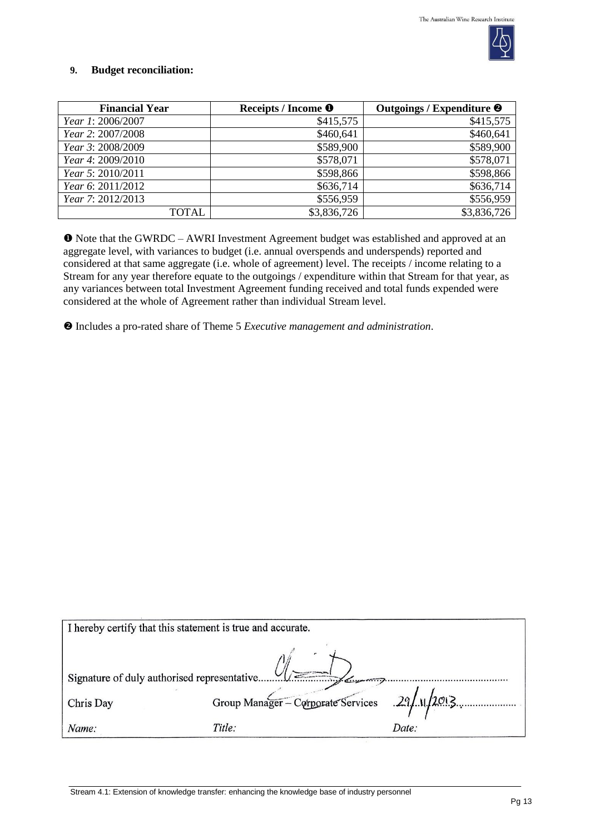

### **9. Budget reconciliation:**

| <b>Financial Year</b>    | Receipts / Income <sup>O</sup> | Outgoings / Expenditure <sup>@</sup> |
|--------------------------|--------------------------------|--------------------------------------|
| <i>Year 1: 2006/2007</i> | \$415,575                      | \$415,575                            |
| Year 2: 2007/2008        | \$460,641                      | \$460,641                            |
| Year 3: 2008/2009        | \$589,900                      | \$589,900                            |
| Year 4: 2009/2010        | \$578,071                      | \$578,071                            |
| Year 5: 2010/2011        | \$598,866                      | \$598,866                            |
| Year 6: 2011/2012        | \$636,714                      | \$636,714                            |
| Year 7: 2012/2013        | \$556,959                      | \$556,959                            |
| TOTAL                    | \$3,836,726                    | \$3,836,726                          |

 Note that the GWRDC – AWRI Investment Agreement budget was established and approved at an aggregate level, with variances to budget (i.e. annual overspends and underspends) reported and considered at that same aggregate (i.e. whole of agreement) level. The receipts / income relating to a Stream for any year therefore equate to the outgoings / expenditure within that Stream for that year, as any variances between total Investment Agreement funding received and total funds expended were considered at the whole of Agreement rather than individual Stream level.

Includes a pro-rated share of Theme 5 *Executive management and administration*.

| I hereby certify that this statement is true and accurate. |                                              |       |  |
|------------------------------------------------------------|----------------------------------------------|-------|--|
| $\epsilon$                                                 |                                              |       |  |
| Chris Day                                                  | Group Manager - Corporate Services 29/1/2013 |       |  |
| Name:                                                      | Title:                                       | Date: |  |